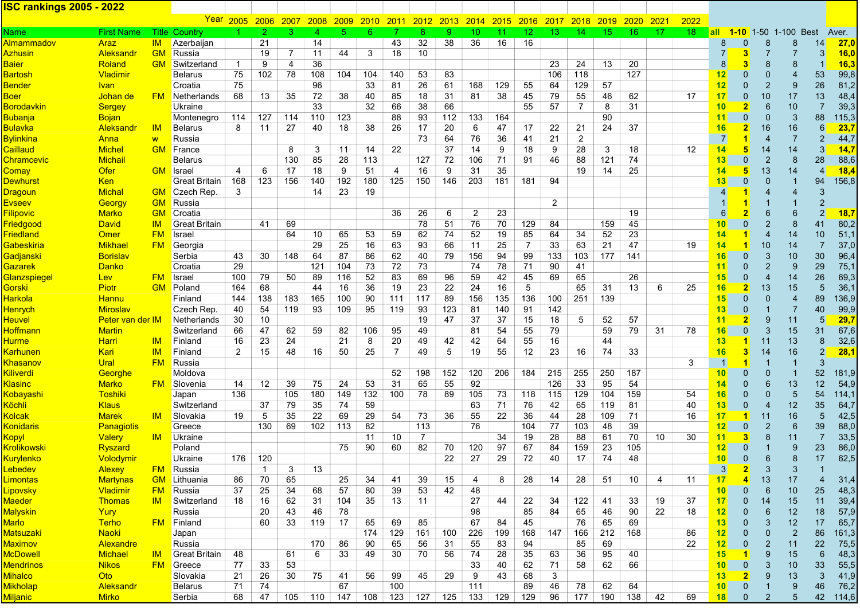## ISC rankings 2005 - 2022

|                        |                         |               | <u>Year</u>          |                | 2005 2006    | 2007           | 2008 | 2009      | <b>2010</b> | 2011           | 2012 | 2013 | 2014 | 2015 | 2016 | <u>2017</u>    | <b>2018</b>     | <u>2019</u>     | <b>2020</b> | 2021 | 2022 |                   |                |                |                                 |                         |       |
|------------------------|-------------------------|---------------|----------------------|----------------|--------------|----------------|------|-----------|-------------|----------------|------|------|------|------|------|----------------|-----------------|-----------------|-------------|------|------|-------------------|----------------|----------------|---------------------------------|-------------------------|-------|
| Name                   | <b>First Name</b>       |               | <b>Title Country</b> |                |              | 3              | Δ    | 5.        | 6           |                | 8    | 9    | 10   | 11   | 12.  | 13             | 14 <sup>°</sup> | 15 <sub>1</sub> | 16          | 17   | 18   |                   |                |                | <b>all 1-10</b> 1-50 1-100 Best |                         | Aver. |
| Almammadov             | Araz                    | IM.           | Azerbaijan           |                | 21           |                | 14   |           |             | 43             | 32   | 38   | 36   | 16   | 16   |                |                 |                 |             |      |      | 8                 | 0              | 8              | 8                               | 14                      | 27,0  |
| <u>Azhusin</u>         | <b>Aleksandr</b>        | <b>GM</b>     | Russia               |                | 19           | $\overline{7}$ | 11   | 44        | 3           | 18             | 10   |      |      |      |      |                |                 |                 |             |      |      | $\overline{7}$    | 3              |                |                                 | 3                       | 16,0  |
| <u>Baier</u>           | Roland                  | <b>GM</b>     | Switzerland          | $\overline{1}$ | 9            | 4              | 36   |           |             |                |      |      |      |      |      | 23             | 24              | 13              | 20          |      |      | 8 <sup>1</sup>    | 3              | 8              | 8                               |                         | 16,3  |
| <b>Bartosh</b>         | Vladimir                |               | Belarus              | 75             | 102          | 78             | 108  | 104       | 104         | 140            | 53   | 83   |      |      |      | 106            | 118             |                 | 127         |      |      | 12                | 0              | $\mathbf 0$    | 4                               | 53                      | 99,8  |
| <u>Bender</u>          | <u>Ivan</u>             |               | Croatia              | 75             |              |                | 96   |           | 33          | 81             | 26   | 61   | 168  | 129  | 55   | 64             | 129             | 57              |             |      |      | 12                | $\overline{0}$ | $\overline{2}$ | 9                               | 26                      | 81,2  |
| <b>Boer</b>            | <u>Johan de</u>         | <b>FM</b>     | Netherlands          | 68             | 13           | 35             | 72   | 38        | 40          | 85             | 18   | 31   | 81   | 38   | 45   | 79             | 55              | 46              | 62          |      | 17   | 17                | 0              | 10             | 17                              | 13                      | 48,4  |
| <u>Borodavkin</u>      | <b>Sergey</b>           |               | Ukraine              |                |              |                | 33   |           | 32          | 66             | 38   | 66   |      |      | 55   | 57             | 7               | 8               | 31          |      |      | 10 <sub>1</sub>   | $\overline{2}$ | 6              | 10                              | 7                       | 39,3  |
| <b>Bubanja</b>         | <b>Bojan</b>            |               | Montenegro           | 114            | 127          | 114            | 110  | 123       |             | 88             | 93   | 112  | 133  | 164  |      |                |                 | 90              |             |      |      | 11                | 0              | $\Omega$       | 3                               | 88                      | 115,3 |
| <u>Bulavka</u>         | Aleksandr               | IM            | Belarus              | 8              | 11           | 27             | 40   | 18        | 38          | 26             | 17   | 20   | 6    | 47   | 17   | 22             | 21              | 24              | 37          |      |      | 16                |                | 16             | 16                              | 6                       | 23,7  |
| <b>Bylinkina</b>       | <u>Anna</u>             | W             | Russia               |                |              |                |      |           |             |                | 73   | 64   | 76   | 36   | 41   | 21             | $\overline{c}$  |                 |             |      |      | $\overline{7}$    |                |                | $\overline{7}$                  | $\overline{2}$          | 44,7  |
| Caillaud               | <b>Michel</b>           | <b>GM</b>     | France               |                |              | 8              | 3    | 11        | 14          | 22             |      | 37   | 14   | 9    | 18   | 9              | 28              | 3               | 18          |      | 12   | 14                | 5              | 14             | 14                              | 3                       | 14,7  |
| <u>Chramcevic</u>      | <b>Michail</b>          |               | Belarus              |                |              | 130            | 85   | 28        | 113         |                | 127  | 72   | 106  | 71   | 91   | 46             | 88              | 121             | 74          |      |      | 13                | 0              | $\overline{2}$ | 8                               | 28                      | 88,6  |
| Comay                  | <b>Ofer</b>             | <b>GM</b>     | <b>Israel</b>        | 4              | 6            | 17             | 18   | 9         | 51          | 4              | 16   | 9    | 31   | 35   |      |                | 19              | 14              | 25          |      |      | 14                | 5              | 13             | 14                              | $\overline{4}$          | 18,4  |
| <b>Dewhurst</b>        | <b>Ken</b>              |               | Great Britain        | 168            | 123          | 156            | 140  | 192       | 180         | 125            | 150  | 146  | 203  | 181  | 181  | 94             |                 |                 |             |      |      | 13                | $\overline{0}$ | $\Omega$       | $\overline{1}$                  | 94                      | 156,8 |
| <mark>Dragoun</mark>   | <b>Michal</b>           | <b>GM</b>     | Czech Rep.           | 3              |              |                | 14   | 23        | 19          |                |      |      |      |      |      |                |                 |                 |             |      |      | $\vert 4 \vert$   |                |                | 4                               | 3                       |       |
| <b>Evseev</b>          | Georgy                  | <b>GM</b>     | Russia               |                |              |                |      |           |             |                |      |      |      |      |      | $\overline{2}$ |                 |                 |             |      |      |                   |                |                |                                 | $\overline{2}$          |       |
| <b>Filipovic</b>       | <b>Marko</b>            | <b>GM</b>     | Croatia              |                |              |                |      |           |             | 36             | 26   | 6    | 2    | 23   |      |                |                 |                 | 19          |      |      | $6 \mid$          |                | 6              | 6                               | $\overline{2}$          | 18,7  |
| <b>Friedgood</b>       | <b>David</b>            | <b>IM</b>     | <b>Great Britain</b> |                | 41           | 69             |      |           |             |                | 78   | 51   | 76   | 70   | 129  | 84             |                 | 159             | 45          |      |      | 10 <sup>1</sup>   | 0              | $\overline{2}$ | 8                               | 41                      | 80,2  |
| <b>Friedland</b>       | Omer                    | <b>FM</b>     | Israel               |                |              | 64             | 10   | 65        | 53          | 59             | 62   | 74   | 52   | 19   | 85   | 64             | 34              | 52              | 23          |      |      | 14                |                |                | 14                              | 10                      | 51,1  |
| <u>Gabeskiria</u>      | <b>Mikhael</b>          | <b>FM</b>     | Georgia              |                |              |                | 29   | 25        | 16          | 63             | 93   | 66   | 11   | 25   | 7    | 33             | 63              | 21              | 47          |      | 19   | 14                |                | 10             | 14                              | 7                       | 37,0  |
| <mark>Gadjanski</mark> | <b>Borislav</b>         |               | Serbia               | 43             | 30           | 148            | 64   | 87        | 86          | 62             | 40   | 79   | 156  | 94   | 99   | 133            | 103             | 177             | 141         |      |      | 16                | 0              | 3              | 10                              | 30                      | 96,4  |
| Gazarek                | <b>Danko</b>            |               | Croatia              | 29             |              |                | 121  | 104       | 73          | 72             | 73   |      | 74   | 78   | 71   | 90             | 41              |                 |             |      |      | 11                | 0              | $\overline{2}$ | 9                               | 29                      | 75,1  |
| Glanzspiegel           | <b>Lev</b>              | <b>FM</b>     | Israel               | 100            | 79           | 50             | 89   | 116       | 52          | 83             | 69   | 96   | 59   | 42   | 45   | 69             | 65              |                 | 26          |      |      | 15                | 0              |                | 14                              | 26                      | 69,3  |
| Gorski                 | Piotr                   | <b>GM</b>     | Poland               | 164            | 68           |                | 44   | 16        | 36          | 19             | 23   | 22   | 24   | 16   | 5    |                | 65              | 31              | 13          | 6    | 25   | 16                |                | 13             | 15                              | 5                       | 36,1  |
| <b>Harkola</b>         | <b>Hannu</b>            |               | Finland              | 144            | 138          | 183            | 165  | 100       | 90          | 111            | 117  | 89   | 156  | 135  | 136  | 100            | 251             | 139             |             |      |      | 15                | 0              | $\Omega$       | $\overline{4}$                  | 89                      | 136,9 |
| <b>Henrych</b>         | <b>Miroslav</b>         |               | Czech Rep.           | 40             | 54           | 119            | 93   | 109       | 95          | 119            | 93   | 123  | 81   | 140  | 91   | 142            |                 |                 |             |      |      | 13                | 0              |                | $\overline{7}$                  | 40                      | 99,9  |
| <b>Heuvel</b>          | <b>Peter van der IM</b> |               | Netherlands          | 30             | 10           |                |      |           |             |                | 19   | 47   | 37   | 37   | 15   | 18             | 5               | 52              | 57          |      |      | 11                |                | 9              | 11                              | 5                       | 29,7  |
| <u>Hoffmann</u>        | <b>Martin</b>           |               | Switzerland          | 66             | 47           | 62             | 59   | 82        | 106         | 95             | 49   |      | 81   | 54   | 55   | 79             |                 | 59              | 79          | 31   | 78   | 16                | $\overline{0}$ | 3              | 15                              | 31                      | 67,6  |
| <u>Hurme</u>           | <b>Harri</b>            | <b>IM</b>     | Finland              | 16             | 23           | 24             |      | 21        | 8           | 20             | 49   | 42   | 42   | 64   | 55   | 16             |                 | 44              |             |      |      | 13                |                | 11             | 13                              | 8                       | 32,6  |
| <mark>Karhunen</mark>  | Kari                    | $\mathsf{IM}$ | Finland              | 2              | 15           | 48             | 16   | 50        | 25          | $\overline{7}$ | 49   | 5    | 19   | 55   | 12   | 23             | 16              | 74              | 33          |      |      | 16                | 3              | 14             | 16                              | $\overline{2}$          | 28,1  |
| <mark>Khasanov</mark>  | Ural                    | <b>FM</b>     | Russia               |                |              |                |      |           |             |                |      |      |      |      |      |                |                 |                 |             |      | 3    | $\mathbf{1}$      |                |                | 1                               | 3                       |       |
| <b>Kiliverdi</b>       | Georghe                 |               | Moldova              |                |              |                |      |           |             | 52             | 198  | 152  | 120  | 206  | 184  | 215            | 255             | 250             | 187         |      |      | 10                | 0              | $\Omega$       |                                 | 52                      | 181,9 |
| <b>Klasinc</b>         | <b>Marko</b>            | <b>FM</b>     | Slovenia             | 14             | 12           | 39             | 75   | 24        | 53          | 31             | 65   | 55   | 92   |      |      | 126            | 33              | 95              | 54          |      |      | 14                | $\overline{0}$ | 6              | 13                              | 12                      | 54,9  |
| <mark>Kobayashi</mark> | Toshiki                 |               | Japan                | 136            |              | 105            | 180  | 149       | 132         | 100            | 78   | 89   | 105  | 73   | 118  | 115            | 129             | 104             | 159         |      | 54   | 16                | 0              | $\overline{0}$ | $5\phantom{.0}$                 | 54                      | 114,1 |
| Köchli                 | <b>Klaus</b>            |               | Switzerland          |                | 37           | 79             | 35   | 74        | 59          |                |      |      | 63   | 71   | 76   | 42             | 65              | 119             | 81          |      | 40   | 13                | 0              |                | 12                              | 35                      | 64,7  |
| Kolcak                 | <b>Marek</b>            | IM            | Slovakia             | 19             | 5            | 35             | 22   | 69        | 29          | 54             | 73   | 36   | 55   | 22   | 36   | 44             | 28              | 109             | 71          |      | 16   | 17                |                | 11             | 16                              | $5\phantom{1}$          | 42,5  |
| <u>Konidaris</u>       | <b>Panagiotis</b>       |               | Greece               |                | 130          | 69             | 102  | 113       | 82          |                | 113  |      | 76   |      | 104  | 77             | 103             | 48              | 39          |      |      | 12                | $\overline{0}$ | $\overline{2}$ | $6\phantom{1}$                  | 39                      | 88,0  |
| <u>Kopyl</u>           | <b>Valery</b>           | -IM           | Ukraine              |                |              |                |      |           | 11          | 10             | 7    |      |      | 34   | 19   | 28             | 88              | 61              | 70          | 10   | 30   | 11                | 3              | 8              | 11                              | 7                       | 33,5  |
| Krolikowski            | Ryszard                 |               | Poland               |                |              |                |      | 75        | 90          | 60             | 82   | 70   | 120  | 97   | 67   | 84             | 159             | 23              | 105         |      |      | 12                | 0              |                | 9                               | 23                      | 86,0  |
| <mark>Kurylenko</mark> | <u>Volodymir</u>        |               | Ukraine              | 176            | 120          |                |      |           |             |                |      | 22   | 27   | 29   | 72   | 40             | 17              | 74              | 48          |      |      | 10                | 0              | 6              | 8                               | 17                      | 62,5  |
| Lebedev                | <b>Alexey</b>           | <b>FM</b>     | Russia               |                | $\mathbf{1}$ | 3              | 13   |           |             |                |      |      |      |      |      |                |                 |                 |             |      |      | 3 <sup>1</sup>    |                | 3              | 3                               | $\overline{\mathbf{1}}$ |       |
| <u>Limontas</u>        | <b>Martynas</b>         | <b>GM</b>     | Lithuania            | 86             | 70           | 65             |      | 25        | 34          | 41             | 39   | 15   | 4    | 8    | 28   | 14             | 28              | 51              | 10          | 4    | 11   | 17                | 4              | 13             | 17                              |                         | 31,4  |
| <mark>Lipovsky</mark>  | <b>Vladimir</b>         | <b>FM</b>     | Russia               | 37             | 25           | 34             | 68   | 57        | 80          | 39             | 53   | 42   | 48   |      |      |                |                 |                 |             |      |      | 10                | $\overline{0}$ | 6              | 10                              | 25                      | 48,3  |
| <b>Maeder</b>          | <b>Thomas</b>           | IM            | Switzerland          | 18             | 16           | 62             | 31   | 104       | 35          | 13             | 11   |      | 27   | 44   | 22   | 34             | 122             | 41              | 33          | 19   | 37   | 17                | 0              | 14             | 15                              | 11                      | 39,4  |
| <b>Malyskin</b>        | Yury                    |               | Russia               |                | 20           | 43             | 46   | 78        |             |                |      |      | 98   |      | 85   | 84             | 65              | 46              | 90          | 22   | 18   | 12                | 0              | 6              | 12                              | 18                      | 57,9  |
| Marlo                  | <b>Terho</b>            | FM.           | Finland              |                | 60           | 33             | 119  | - 17      | 65          | 69             | 85   |      | 67   | 84   | 45   |                | 76              | 65              | 69          |      |      | 13                | 0              | 3              | 12                              | 17                      | 65,7  |
| <u>Matsuzaki</u>       | <b>Naoki</b>            |               | Japan                |                |              |                |      |           | 174         | 129            | 161  | 100  | 226  | 199  | 168  | 147            | 166             | 212             | 168         |      | 86   | $12 \overline{ }$ | 0              | $\Omega$       | $\overline{2}$                  | 86                      | 161,3 |
| <b>Maximov</b>         | Alexandre               |               | Russia               |                |              |                | 170  | 86        | 90          | 65             | 56   | 31   | 55   | 83   | 94   |                | 85              | 69              |             |      | 22   | 12                | 0              | 2              | 11                              | 22                      | 75,5  |
| <b>McDowell</b>        | <b>Michael</b>          | IM            | <b>Great Britain</b> | 48             |              | 61             | 6    | 33        | 49          | 30             | 70   | 56   | 74   | 28   | 35   | 63             | 36              | 95              | 40          |      |      | 15                | 1              | 9              | 15                              | 6                       | 48,3  |
| <b>Mendrinos</b>       | <b>Nikos</b>            | <b>FM</b>     | Greece               | 77             | 33           | 53             |      |           |             |                |      |      | 33   | 40   | 62   | 71             | 58              | 62              | 66          |      |      | 10 <sup>1</sup>   | $\mathbf{0}$   | 3              | 10                              | 33                      | 55,5  |
| <b>Mihalco</b>         | <b>Oto</b>              |               | Slovakia             | 21             | 26           | 30             | 75   | 41        | 56          | 99             | 45   | 29   | 9    | 43   | 68   | 3              |                 |                 |             |      |      | 13 <sub>1</sub>   |                | 9              | 13                              | 3                       | 41,9  |
| <b>Mikholap</b>        | Aleksandr               |               | <b>Belarus</b>       | 71             | 74           |                |      | 67        |             | 100            |      |      | 111  |      | 89   | 46             | 78              | 62              | 64          |      |      | 10 <sub>1</sub>   | $\mathbf{0}$   |                | 9                               | 46                      | 76,2  |
| Miljanic               | <b>Mirko</b>            |               | Serbia               | 68             | 47           | 105            |      | $110$ 147 | 108         | 123            | 127  | 125  | 133  | 129  | 129  | 96             | 177             | 190             | 138         | 42   | 69   | 18                | $\mathbf{0}$   | $\overline{2}$ | $5\phantom{.0}$                 | 42                      | 114,6 |
|                        |                         |               |                      |                |              |                |      |           |             |                |      |      |      |      |      |                |                 |                 |             |      |      |                   |                |                |                                 |                         |       |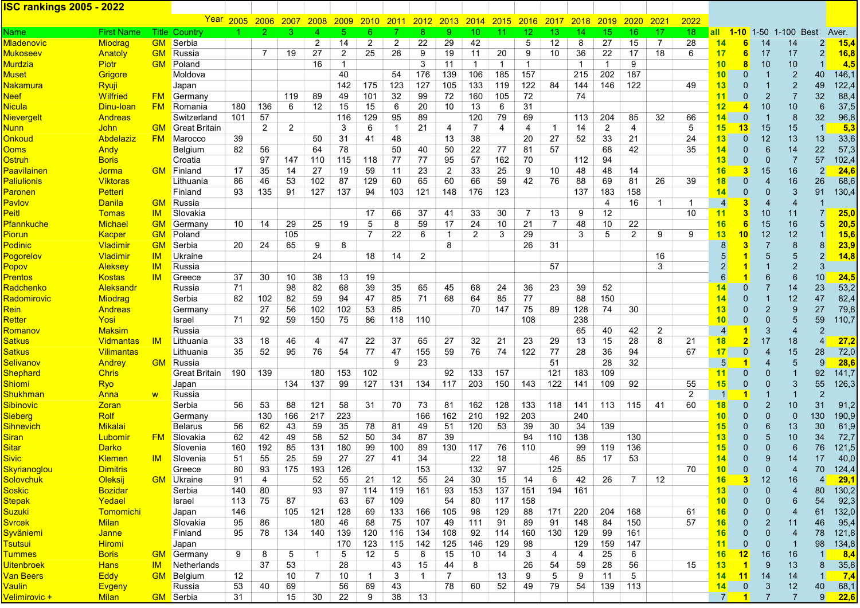## ISC rankings 2005 - 2022

|                            |                   |           | <u>Year</u>          | 2005 | 2006           | 2007           | <b>2008</b>    | <b>2009</b>    | 2010           | <u> 2011 </u>  | 2012           | 2013         | 2014           | 2015           | <b>2016</b>     | <u>2017</u>    | 2018         | 2019            | 2020     | 2021 | 2022            |                 |                                  |                |                          |                |              |
|----------------------------|-------------------|-----------|----------------------|------|----------------|----------------|----------------|----------------|----------------|----------------|----------------|--------------|----------------|----------------|-----------------|----------------|--------------|-----------------|----------|------|-----------------|-----------------|----------------------------------|----------------|--------------------------|----------------|--------------|
| Name                       | <b>First Name</b> |           | <b>Title Country</b> |      |                | 3              | Δ              |                | 6.             |                | 8              | 9            | 10             | 11             | 12 <sup>1</sup> | 13             | 14           | 15 <sub>1</sub> | 16       | 17   | 18 <sup>°</sup> |                 |                                  |                | all 1-10 1-50 1-100 Best |                | Aver.        |
| <b>Mladenovic</b>          | <b>Miodrag</b>    | GM        | Serbia               |      |                |                | $\overline{2}$ | 14             | $\overline{2}$ | $\overline{2}$ | 22             | 29           | 42             |                | 5               | 12             | 8            | 27              | 15       | 7    | 28              | 14              | 6                                | 14             | 14                       |                | 15,4         |
| <b>Mukoseev</b>            | Anatoly           | <b>GM</b> | Russia               |      | 7              | 19             | 27             | $\overline{2}$ | 25             | 28             | 9              | 19           | 11             | 20             | 9               | 10             | 36           | 22              | 17       | 18   | 6               | 17              | 6                                | 17             | 17                       | $\overline{c}$ | 16,8         |
| <b>Murdzia</b>             | <b>Piotr</b>      | <b>GM</b> | Poland               |      |                |                | 16             | $\mathbf{1}$   |                |                | 3              | 11           | $\mathbf{1}$   | $\overline{1}$ | $\overline{1}$  |                | $\mathbf{1}$ | $\overline{1}$  | 9        |      |                 | 10              | 8                                | 10             | 10                       |                | 4,5          |
| Muset                      | Grigore           |           | Moldova              |      |                |                |                | 40             |                | 54             | 176            | 139          | 106            | 185            | 157             |                | 215          | 202             | 187      |      |                 | 10              | $\Omega$                         |                | $\overline{2}$           | 40             | 146,1        |
| <u>Nakamura</u>            | Ryuji             |           | Japan                |      |                |                |                | 142            | 175            | 123            | 127            | 105          | 133            | 119            | 122             | 84             | 144          | 146             | 122      |      | 49              | 13 <sub>z</sub> | $\mathbf{0}$                     |                | $\overline{2}$           | 49             | 122,4        |
| <b>Neef</b>                | Wilfried          | <u>FM</u> | Germany              |      |                | 119            | 89             | 49             | 101            | 32             | 99             | 72           | 160            | 105            | 72              |                | 74           |                 |          |      |                 | 11              | $\overline{0}$                   | $\overline{2}$ | $\overline{7}$           | 32             | 88,4         |
| <b>Nicula</b>              | Dinu-loan         | <b>FM</b> | Romania              | 180  | 136            | 6              | 12             | 15             | 15             | 6              | 20             | 10           | 13             | 6              | 31              |                |              |                 |          |      |                 | 12              | 4                                | 10             | 10                       | 6              | 37,5         |
| <b>Nievergelt</b>          | <b>Andreas</b>    |           | Switzerland          | 101  | 57             |                |                | 116            | 129            | 95             | 89             |              | 120            | 79             | 69              |                | 113          | 204             | 85       | 32   | 66              | 14              | $\overline{0}$                   |                | 8                        | 32             | 96,8         |
| <u>Nunn</u>                | John              | <b>GM</b> | Great Britain        |      | $\overline{2}$ | $\overline{2}$ |                | 3              | 6              | $\mathbf{1}$   | 21             | 4            | $\overline{7}$ | $\overline{4}$ | 4               | 1              | 14           | $\overline{2}$  | 4        |      | 5               | 15              | 13                               | 15             | 15                       | 1              | 5,3          |
| <b>Onkoud</b>              | Abdelaziz         | <b>FM</b> | Marocco              | 39   |                |                | 50             | 31             | 41             | 48             |                | 13           | 38             |                | 20              | 27             | 52           | 33              | 21       |      | 24              | 13              | $\overline{0}$                   | 12             | 13                       | 13             | 33,6         |
| <b>Ooms</b>                | Andy              |           | Belgium              | 82   | 56             |                | 64             | 78             |                | 50             | 40             | 50           | 22             | 77             | 81              | 57             |              | 68              | 42       |      | 35              | 14              | $\mathbf{0}$                     | 6              | 14                       | 22             | 57,3         |
| <b>Ostruh</b>              | <b>Boris</b>      |           | Croatia              |      | 97             | 147            | 110            | 115            | 118            | 77             | 77             | 95           | 57             | 162            | 70              |                | 112          | 94              |          |      |                 | 13              | $\mathbf{0}$                     | $\mathbf{0}$   | $\overline{7}$           | 57             | 102,4        |
| <b>Paavilainen</b>         | Jorma             |           | <b>GM</b> Finland    | 17   | 35             | 14             | 27             | 19             | 59             | 11             | 23             | 2            | 33             | 25             | 9               | 10             | 48           | 48              | 14       |      |                 | 16              | 3                                | 15             | 16                       | $\overline{2}$ | 24,6         |
| <b>Paliulionis</b>         | <b>Viktoras</b>   |           | Lithuania            | 86   | 46             | 53             | 102            | 87             | 129            | 60             | 65             | 60           | 66             | 59             | 42              | 76             | 88           | 69              | 81       | 26   | 39              | 18              | $\mathbf{0}$                     | 4              | 16                       | 26             | 68,6         |
| <b>Paronen</b>             | Petteri           |           | Finland              | 93   | 135            | 91             | 127            | 137            | 94             | 103            | 121            | 148          | 176            | 123            |                 |                | 137          | 183             | 158      |      |                 | 14              | $\Omega$                         | $\Omega$       | 3                        | 91             | 130,4        |
| <b>Pavlov</b>              | <b>Danila</b>     | <b>GM</b> | Russia               |      |                |                |                |                |                |                |                |              |                |                |                 |                |              | 4               | 16       | -1   | $\mathbf{1}$    | $\overline{4}$  |                                  | 4              | $\overline{4}$           |                |              |
| <b>Peitl</b>               | <b>Tomas</b>      | IM        | Slovakia             |      |                |                |                |                | 17             | 66             | 37             | 41           | 33             | 30             | 7               | 13             | 9            | 12              |          |      | 10              | 11              | 3 <sup>1</sup>                   | 10             | 11                       | $\overline{7}$ | 25,0         |
| <b>Pfannkuche</b>          | <b>Michael</b>    | <b>GM</b> | Germany              | 10   | 14             | 29             | 25             | 19             | 5              | 8              | 59             | 17           | 24             | 10             | 21              | $\overline{7}$ | 48           | 10              | 22       |      |                 | 16              | 6                                | 15             | 16                       | 5              | 20,5         |
| <b>Piorun</b>              | Kacper            | <b>GM</b> | Poland               |      |                | 105            |                |                | $\overline{7}$ | 22             | 6              | $\mathbf{1}$ | 2              | 3              | 29              |                | 3            | 5               | 2        | 9    | 9               | 13              | 10 <sup>°</sup>                  | 12             | 12                       |                | 15,6         |
| <b>Podinic</b>             | <b>Vladimir</b>   | <b>GM</b> | Serbia               | 20   | 24             | 65             | 9              | 8              |                |                |                | 8            |                |                | 26              | 31             |              |                 |          |      |                 | 8               |                                  | $\overline{7}$ | 8                        | 8              | 23,9         |
| Pogorelov                  | Vladimir          | IM        | Ukraine              |      |                |                | 24             |                | 18             | 14             | $\overline{2}$ |              |                |                |                 |                |              |                 |          | 16   |                 | 5               |                                  | 5              | 5                        | $\overline{2}$ | 14,8         |
| Popov                      | Aleksey           | IM        | Russia               |      |                |                |                |                |                |                |                |              |                |                |                 | 57             |              |                 |          | 3    |                 | $\overline{2}$  |                                  | $\overline{1}$ | $\overline{c}$           | 3              |              |
| <b>Prentos</b>             | <b>Kostas</b>     | IM        | Greece               | 37   | 30             | 10             | 38             | 13             | 19             |                |                |              |                |                |                 |                |              |                 |          |      |                 | 6               |                                  | 6              | 6                        | 10             | 24,5         |
| Radchenko                  | Aleksandr         |           | Russia               | 71   |                | 98             | 82             | 68             | 39             | 35             | 65             | 45           | 68             | 24             | 36              | 23             | 39           | 52              |          |      |                 | 14              | $\Omega$                         | $\overline{7}$ | 14                       | 23             | 53,2         |
| <u>Radomirovic</u>         | <b>Miodrag</b>    |           | Serbia               | 82   | 102            | 82             | 59             | 94             | 47             | 85             | 71             | 68           | 64             | 85             | 77              |                | 88           | 150             |          |      |                 | 14              | $\Omega$                         | 1              | 12                       | 47             | 82,4         |
| <b>Rein</b>                | Andreas           |           |                      |      | 27             | 56             | 102            | 102            | 53             | 85             |                |              | 70             | 147            | 75              | 89             | 128          | 74              | 30       |      |                 | 13              | $\Omega$                         | $\overline{2}$ | 9                        | 27             | 79,8         |
| Retter                     | Yosi              |           | Germany              |      | 92             |                |                |                | 86             |                |                |              |                |                |                 |                |              |                 |          |      |                 | 10              | $\Omega$                         | $\Omega$       | 5                        | 59             |              |
|                            |                   |           | Israel               | 71   |                | 59             | 150            | 75             |                | 118            | 110            |              |                |                | 108             |                | 238<br>65    |                 |          | 2    |                 |                 |                                  | 3              |                          | $\overline{2}$ | 110,7        |
| <u>Romanov</u>             | <b>Maksim</b>     |           | Russia               |      |                |                |                |                |                |                |                |              |                |                |                 |                |              | 40              | 42       | 8    |                 | $\overline{4}$  |                                  | 17             | $\overline{4}$           | $\overline{4}$ |              |
| <u>Satkus</u>              | <b>Vidmantas</b>  | <b>IM</b> | Lithuania            | 33   | 18             | 46             | 4              | 47<br>54       | 22             | 37             | 65             | 27           | 32             | 21             | 23              | 29<br>77       | 13           | 15              | 28<br>94 |      | 21<br>67        | 18              | $\overline{2}$<br>$\overline{0}$ | 4              | 18<br>15                 |                | 27,2         |
| <b>Satkus</b>              | <b>Vilimantas</b> |           | Lithuania            | 35   | 52             | 95             | 76             |                | 77             | 47<br>9        | 155            | 59           | 76             | 74             | 122             |                | 28           | 36              |          |      |                 | 17              |                                  |                | 5                        | 28<br>9        | 72,0<br>28,6 |
| <u>Selivanov</u>           | Andrey            | <b>GM</b> | Russia               |      |                |                |                |                |                |                | 23             |              |                |                |                 | 51             |              | 28              | 32       |      |                 | 5 <sub>5</sub>  |                                  | 4              |                          |                |              |
| Shephard                   | <b>Chris</b>      |           | Great Britain        | 190  | 139            |                | 180            | 153            | 102            |                |                | 92           | 133            | 157            |                 | 121            | 183          | 109             |          |      |                 | 11              | $\Omega$                         | $\Omega$       |                          | 92             | 141,7        |
| <b>Shiomi</b>              | <b>Ryo</b>        |           | Japan                |      |                | 134            | 137            | 99             | 127            | 131            | 134            | 117          | 203            | 150            | 143             | 122            | 141          | 109             | 92       |      | 55              | 15              | $\overline{0}$                   | $\overline{0}$ | 3                        | 55             | 126,3        |
| <b>Shukhman</b>            | Anna              | <b>W</b>  | Russia               |      |                |                |                |                |                |                |                |              |                |                |                 |                |              |                 |          |      | $\overline{2}$  | 1               |                                  |                |                          | 2              |              |
| Sibinovic                  | Zoran             |           | Serbia               | 56   | 53             | 88             | 121            | 58             | 31             | 70             | 73             | 81           | 162            | 128            | 133             | 118            | 141          | 113             | 115      | 41   | 60              | <u> 18</u>      | $\mathbf{0}$                     | $\overline{2}$ | 10                       | 31             | 91,2         |
| Sieberg                    | <b>Rolf</b>       |           | Germany              |      | 130            | 166            | 217            | 223            |                |                | 166            | 162          | 210            | 192            | 203             |                | 240          |                 |          |      |                 | 10              | $\mathbf{0}$                     | $\Omega$       | $\mathbf 0$              | 130            | 190,9        |
| Sihnevich                  | <b>Mikalai</b>    |           | Belarus              | 56   | 62             | 43             | 59             | 35             | 78             | 81             | 49             | 51           | 120            | 53             | 39              | 30             | 34           | 139             |          |      |                 | 15              | $\mathbf{0}$                     | 6              | 13                       | 30             | 61,9         |
| <b>Siran</b>               | Lubomir           | <b>FM</b> | Slovakia             | 62   | 42             | 49             | 58             | 52             | 50             | 34             | 87             | 39           |                |                | 94              | 110            | 138          |                 | 130      |      |                 | 13              | $\Omega$                         | 5              | 10                       | 34             | 72,7         |
| Sitar                      | <b>Darko</b>      |           | Slovenia             | 160  | 192            | 85             | 131            | 180            | 99             | 100            | 89             | 130          | 117            | 76             | 110             |                | 99           | 119             | 136      |      |                 | 15              | $\Omega$                         | $\Omega$       | 6                        | 76             | 121,5        |
| <b>Sivic</b>               | <b>Klemen</b>     | <b>IM</b> | Slovenia             | 51   | 55             | 25             | 59             | 27             | 27             | 41             | 34             |              | 22             | 18             |                 | 46             | 85           | 17              | 53       |      |                 | 14              | $\mathbf{0}$                     | 9              | 14                       | 17             | 40,0         |
| Skyrianoglou               | <b>Dimitris</b>   |           | Greece               | 80   | 93             | 175            | 193            | 126            |                |                | 153            |              | 132            | 97             |                 | 125            |              |                 |          |      | 70              | 10 <sub>1</sub> | $\Omega$                         | $\Omega$       |                          | 70             | 124,4        |
| <b>Solovchuk</b>           | Oleksij           | <b>GM</b> | Ukraine              | 91   | 4              |                | 52             | 55             | 21             | 12             | 55             | 24           | 30             | 15             | 14              | 6              | 42           | 26              | 7        | 12   |                 | 16              | $\mathbf{3}$                     | 12             | 16                       | 4 <sup>1</sup> | 29,1         |
| <b>Soskic</b>              | <b>Bozidar</b>    |           | Serbia               | 140  | 80             |                | 93             | 97             | 114            | 119            | 161            | 93           | 153            | 137            | 151             | 194            | 161          |                 |          |      |                 | 13              | $\Omega$                         | $\Omega$       |                          | 80             | 130,2        |
| <b>Stepak</b>              | Yedael            |           | Israel               | 113  | 75             | 87             |                | 63             | 67             | 109            |                | 54           | 80             | 117            | 158             |                |              |                 |          |      |                 | 10 <sub>1</sub> | 0                                | $\mathbf 0$    | 6                        | 54             | 92,3         |
| <mark>Suzuki</mark>        | Tomomichi         |           | Japan                | 146  |                | 105            | 121            | 128            | 69             | 133            | 166            | 105          | 98             | 129            | 88              | 171            | 220          | 204             | 168      |      | 61              | 16              | $\Omega$                         | $\Omega$       |                          | 61             | 132,0        |
| <b>Svrcek</b>              | <b>Milan</b>      |           | Slovakia             | 95   | 86             |                | 180            | 46             | 68             | 75             | 107            | 49           | 111            | 91             | 89              | 91             | 148          | 84              | 150      |      | 57              | 16              | 0                                | 2              | 11                       | 46             | 95,4         |
| <u>Syväniemi</u>           | <b>Janne</b>      |           | Finland              | 95   | 78             | 134            | 140            | 139            | 120            | 116            | 134            | 108          | 92             | 114            | 160             | 130            | 129          | 99              | 161      |      |                 | 16 <sup>1</sup> | $\Omega$                         | $\Omega$       |                          | 78             | 121,8        |
| <mark>Tsutsui</mark>       | Hiromi            |           | Japan                |      |                |                |                | 170            | 123            | 115            | 142            | 125          | 146            | 129            | 98              |                | 129          | 159             | 147      |      |                 | 11              | $\mathbf 0$                      | $\mathbf 0$    |                          | 98             | 134,8        |
| Tummes                     | <b>Boris</b>      |           | <b>GM</b> Germany    | 9    | 8              | 5              | $\overline{1}$ | 5              | 12             | 5              | 8              | 15           | 10             | 14             | 3               | 4              | 4            | 25              | 6        |      |                 | 16              | 12                               | 16             | 16                       |                | 8,4          |
| <b>Uitenbroek</b>          | <b>Hans</b>       | IM        | Netherlands          |      | 37             | 53             |                | 28             |                | 43             | 15             | 44           | 8              |                | 26              | 54             | 59           | 28              | 56       |      | 15              | 13              |                                  | 9              | 13                       |                | 35,8         |
| <u>Van Beers</u>           | <b>Eddy</b>       | <b>GM</b> | Belgium              | 12   |                | 10             | 7              | 10             | 1              | 3              | -1             | 7            |                | 13             | 9               | 5              | 9            | 11              | 5        |      |                 | 14              | 11                               | 14             | 14                       |                | 7,4          |
| <u>Vaulin_</u>             | <b>Evgeny</b>     |           | Russia               | 53   | 40             | 69             |                | 56             | 69             | 43             |                | 78           | 60             | 52             | 49              | 79             | 54           | 139             | 113      |      |                 | 14              | $\mathbf 0$                      | 3              | 12                       | 40             | 68,1         |
| <mark>Velimirovic +</mark> | <b>Milan</b>      |           | <b>GM</b> Serbia     | 31   |                | 15             | 30             | 22             | 9              | 38             | 13             |              |                |                |                 |                |              |                 |          |      |                 | 7 <sup>1</sup>  | $\mathbf{1}$                     | $\overline{7}$ | $\overline{7}$           | 9              | 22,6         |
|                            |                   |           |                      |      |                |                |                |                |                |                |                |              |                |                |                 |                |              |                 |          |      |                 |                 |                                  |                |                          |                |              |